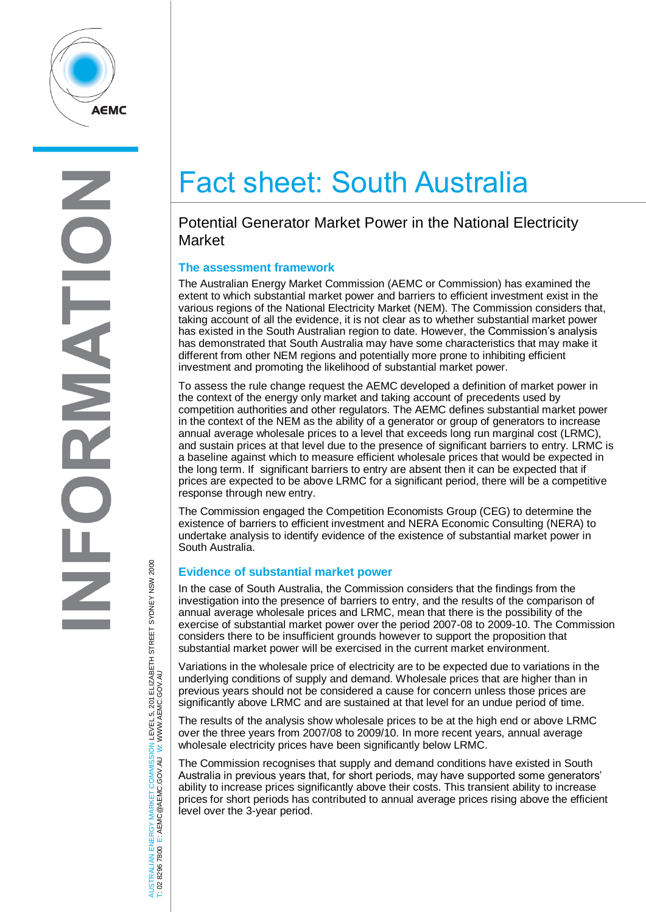

# Fact sheet: South Australia

# Potential Generator Market Power in the National Electricity Market

## **The assessment framework**

The Australian Energy Market Commission (AEMC or Commission) has examined the extent to which substantial market power and barriers to efficient investment exist in the various regions of the National Electricity Market (NEM). The Commission considers that, taking account of all the evidence, it is not clear as to whether substantial market power has existed in the South Australian region to date. However, the Commission's analysis has demonstrated that South Australia may have some characteristics that may make it different from other NEM regions and potentially more prone to inhibiting efficient investment and promoting the likelihood of substantial market power.

To assess the rule change request the AEMC developed a definition of market power in the context of the energy only market and taking account of precedents used by competition authorities and other regulators. The AEMC defines substantial market power in the context of the NEM as the ability of a generator or group of generators to increase annual average wholesale prices to a level that exceeds long run marginal cost (LRMC), and sustain prices at that level due to the presence of significant barriers to entry. LRMC is a baseline against which to measure efficient wholesale prices that would be expected in the long term. If significant barriers to entry are absent then it can be expected that if prices are expected to be above LRMC for a significant period, there will be a competitive response through new entry.

The Commission engaged the Competition Economists Group (CEG) to determine the existence of barriers to efficient investment and NERA Economic Consulting (NERA) to undertake analysis to identify evidence of the existence of substantial market power in South Australia.

#### **Evidence of substantial market power**

In the case of South Australia, the Commission considers that the findings from the investigation into the presence of barriers to entry, and the results of the comparison of annual average wholesale prices and LRMC, mean that there is the possibility of the exercise of substantial market power over the period 2007-08 to 2009-10. The Commission considers there to be insufficient grounds however to support the proposition that substantial market power will be exercised in the current market environment.

Variations in the wholesale price of electricity are to be expected due to variations in the underlying conditions of supply and demand. Wholesale prices that are higher than in previous years should not be considered a cause for concern unless those prices are significantly above LRMC and are sustained at that level for an undue period of time.

The results of the analysis show wholesale prices to be at the high end or above LRMC over the three years from 2007/08 to 2009/10. In more recent years, annual average wholesale electricity prices have been significantly below LRMC.

The Commission recognises that supply and demand conditions have existed in South Australia in previous years that, for short periods, may have supported some generators' ability to increase prices significantly above their costs. This transient ability to increase prices for short periods has contributed to annual average prices rising above the efficient level over the 3-year period.

AUSTRALIAN ENERGY MARKET COMMISSION LEVEL 5, 201 ELIZABETH STREET SYDNEY NSW 2000<br>T: 02 8296 7800 E: AEMC@AEMC.GOV.AU W: WWW.AEMC.GOV.AU AUSTRALIAN ENERGY MARKET COMMISSION LEVEL 5, 201 ELIZABETH STREET SYDNEY NSW 2000 W: WWW.AEMC.GOV.AU T: 02 8296 7800 E: AEMC@AEMC.GOV.AU